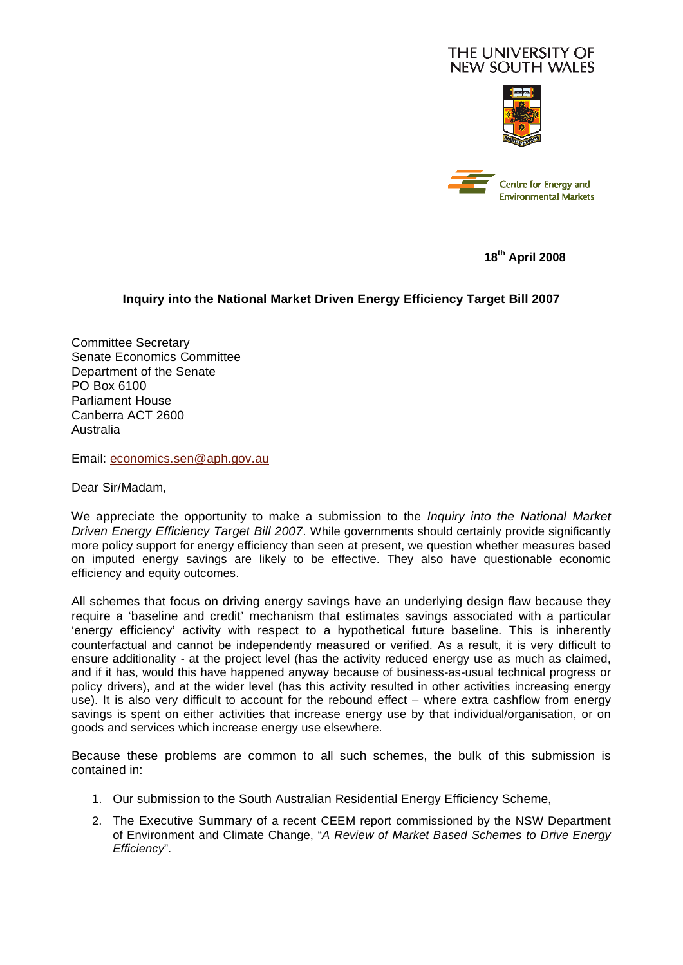## THE UNIVERSITY OF **NEW SOUTH WALES**





**18th April 2008** 

## **Inquiry into the National Market Driven Energy Efficiency Target Bill 2007**

Committee Secretary Senate Economics Committee Department of the Senate PO Box 6100 Parliament House Canberra ACT 2600 Australia

Email: economics.sen@aph.gov.au

Dear Sir/Madam,

We appreciate the opportunity to make a submission to the *Inquiry into the National Market Driven Energy Efficiency Target Bill 2007*. While governments should certainly provide significantly more policy support for energy efficiency than seen at present, we question whether measures based on imputed energy savings are likely to be effective. They also have questionable economic efficiency and equity outcomes.

All schemes that focus on driving energy savings have an underlying design flaw because they require a 'baseline and credit' mechanism that estimates savings associated with a particular 'energy efficiency' activity with respect to a hypothetical future baseline. This is inherently counterfactual and cannot be independently measured or verified. As a result, it is very difficult to ensure additionality - at the project level (has the activity reduced energy use as much as claimed, and if it has, would this have happened anyway because of business-as-usual technical progress or policy drivers), and at the wider level (has this activity resulted in other activities increasing energy use). It is also very difficult to account for the rebound effect – where extra cashflow from energy savings is spent on either activities that increase energy use by that individual/organisation, or on goods and services which increase energy use elsewhere.

Because these problems are common to all such schemes, the bulk of this submission is contained in:

- 1. Our submission to the South Australian Residential Energy Efficiency Scheme,
- 2. The Executive Summary of a recent CEEM report commissioned by the NSW Department of Environment and Climate Change, "*A Review of Market Based Schemes to Drive Energy Efficiency*".